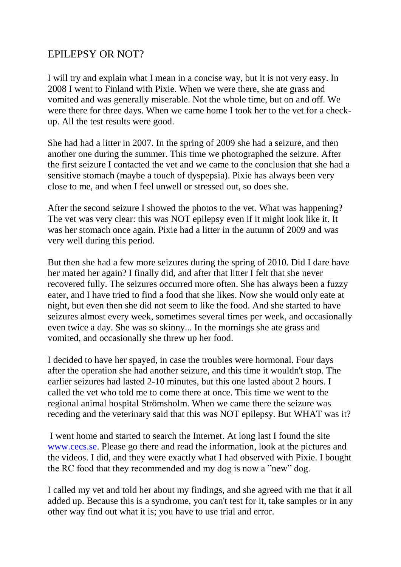## EPILEPSY OR NOT?

I will try and explain what I mean in a concise way, but it is not very easy. In 2008 I went to Finland with Pixie. When we were there, she ate grass and vomited and was generally miserable. Not the whole time, but on and off. We were there for three days. When we came home I took her to the vet for a checkup. All the test results were good.

She had had a litter in 2007. In the spring of 2009 she had a seizure, and then another one during the summer. This time we photographed the seizure. After the first seizure I contacted the vet and we came to the conclusion that she had a sensitive stomach (maybe a touch of dyspepsia). Pixie has always been very close to me, and when I feel unwell or stressed out, so does she.

After the second seizure I showed the photos to the vet. What was happening? The vet was very clear: this was NOT epilepsy even if it might look like it. It was her stomach once again. Pixie had a litter in the autumn of 2009 and was very well during this period.

But then she had a few more seizures during the spring of 2010. Did I dare have her mated her again? I finally did, and after that litter I felt that she never recovered fully. The seizures occurred more often. She has always been a fuzzy eater, and I have tried to find a food that she likes. Now she would only eate at night, but even then she did not seem to like the food. And she started to have seizures almost every week, sometimes several times per week, and occasionally even twice a day. She was so skinny... In the mornings she ate grass and vomited, and occasionally she threw up her food.

I decided to have her spayed, in case the troubles were hormonal. Four days after the operation she had another seizure, and this time it wouldn't stop. The earlier seizures had lasted 2-10 minutes, but this one lasted about 2 hours. I called the vet who told me to come there at once. This time we went to the regional animal hospital Strömsholm. When we came there the seizure was receding and the veterinary said that this was NOT epilepsy. But WHAT was it?

I went home and started to search the Internet. At long last I found the site [www.cecs.se.](http://www.cecs.se/) Please go there and read the information, look at the pictures and the videos. I did, and they were exactly what I had observed with Pixie. I bought the RC food that they recommended and my dog is now a "new" dog.

I called my vet and told her about my findings, and she agreed with me that it all added up. Because this is a syndrome, you can't test for it, take samples or in any other way find out what it is; you have to use trial and error.